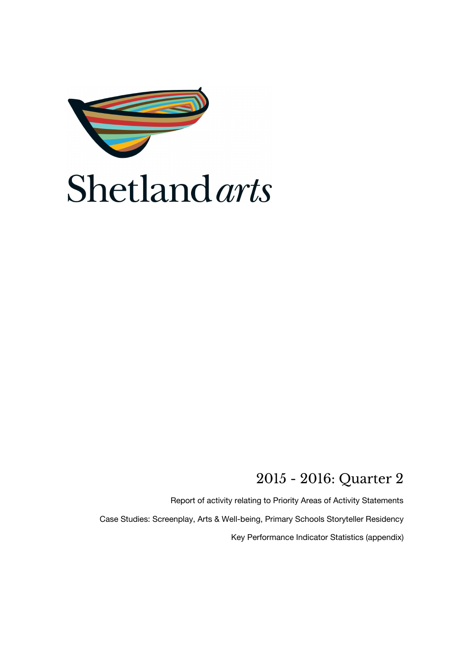

# **Shetland** arts

### 2015 - 2016: Quarter 2

Report of activity relating to Priority Areas of Activity Statements Case Studies: Screenplay, Arts & Well-being, Primary Schools Storyteller Residency Key Performance Indicator Statistics (appendix)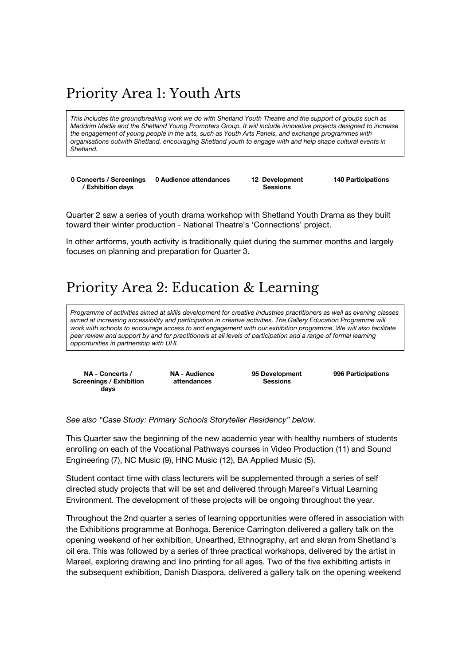# Priority Area 1: Youth Arts

This includes the groundbreaking work we do with Shetland Youth Theatre and the support of groups such as *Maddrim Media and the Shetland Young Promoters Group. It will include innovative projects designed to increase the engagement of young people in the arts, such as Youth Arts Panels, and exchange programmes with organisations outwith Shetland, encouraging Shetland youth to engage with and help shape cultural events in Shetland.*

**0 Concerts / Screenings / Exhibition days 0 Audience attendances 12 Development**

**Sessions**

**140 Participations**

Quarter 2 saw a series of youth drama workshop with Shetland Youth Drama as they built toward their winter production - National Theatre's 'Connections' project.

In other artforms, youth activity is traditionally quiet during the summer months and largely focuses on planning and preparation for Quarter 3.

# Priority Area 2: Education & Learning

Programme of activities aimed at skills development for creative industries practitioners as well as evening classes *aimed at increasing accessibility and participation in creative activities. The Gallery Education Programme will* work with schools to encourage access to and engagement with our exhibition programme. We will also facilitate peer review and support by and for practitioners at all levels of participation and a range of formal learning *opportunities in partnership with UHI.*

**NA - Concerts / Screenings / Exhibition days**

**NA - Audience attendances**

**95 Development Sessions**

**996 Participations**

*See also "Case Study: Primary Schools Storyteller Residency" below.*

This Quarter saw the beginning of the new academic year with healthy numbers of students enrolling on each of the Vocational Pathways courses in Video Production (11) and Sound Engineering (7), NC Music (9), HNC Music (12), BA Applied Music (5).

Student contact time with class lecturers will be supplemented through a series of self directed study projects that will be set and delivered through Mareel's Virtual Learning Environment. The development of these projects will be ongoing throughout the year.

Throughout the 2nd quarter a series of learning opportunities were offered in association with the Exhibitions programme at Bonhoga. Berenice Carrington delivered a gallery talk on the opening weekend of her exhibition, Unearthed, Ethnography, art and skran from Shetland's oil era. This was followed by a series of three practical workshops, delivered by the artist in Mareel, exploring drawing and lino printing for all ages. Two of the five exhibiting artists in the subsequent exhibition, Danish Diaspora, delivered a gallery talk on the opening weekend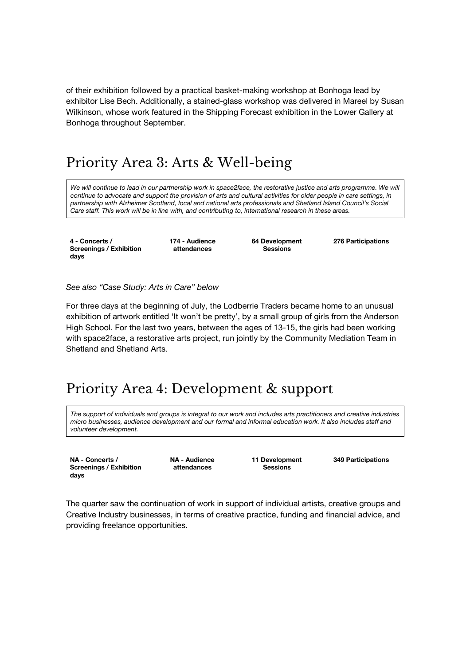of their exhibition followed by a practical basket-making workshop at Bonhoga lead by exhibitor Lise Bech. Additionally, a stained-glass workshop was delivered in Mareel by Susan Wilkinson, whose work featured in the Shipping Forecast exhibition in the Lower Gallery at Bonhoga throughout September.

### Priority Area 3: Arts & Well-being

We will continue to lead in our partnership work in space2face, the restorative justice and arts programme. We will continue to advocate and support the provision of arts and cultural activities for older people in care settings, in *partnership with Alzheimer Scotland, local and national arts professionals and Shetland Island Council's Social Care staff. This work will be in line with, and contributing to, international research in these areas.*

**4 - Concerts / Screenings / Exhibition days**

**174 - Audience attendances**

**64 Development Sessions**

**276 Participations**

*See also "Case Study: Arts in Care" below*

For three days at the beginning of July, the Lodberrie Traders became home to an unusual exhibition of artwork entitled 'It won't be pretty', by a small group of girls from the Anderson High School. For the last two years, between the ages of 13-15, the girls had been working with space2face, a restorative arts project, run jointly by the Community Mediation Team in Shetland and Shetland Arts.

### Priority Area 4: Development & support

The support of individuals and groups is integral to our work and includes arts practitioners and creative industries *micro businesses, audience development and our formal and informal education work. It also includes staff and volunteer development.*

**NA - Concerts / Screenings / Exhibition days**

**NA - Audience attendances**

**11 Development Sessions**

**349 Participations**

The quarter saw the continuation of work in support of individual artists, creative groups and Creative Industry businesses, in terms of creative practice, funding and financial advice, and providing freelance opportunities.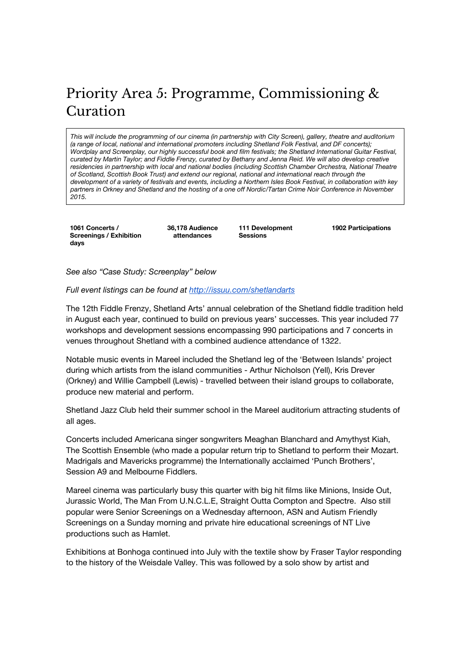# Priority Area 5: Programme, Commissioning & Curation

This will include the programming of our cinema (in partnership with City Screen), gallery, theatre and auditorium *(a range of local, national and international promoters including Shetland Folk Festival, and DF concerts); Wordplay and Screenplay, our highly successful book and film festivals; the Shetland International Guitar Festival,* curated by Martin Taylor; and Fiddle Frenzy, curated by Bethany and Jenna Reid. We will also develop creative *residencies in partnership with local and national bodies (including Scottish Chamber Orchestra, National Theatre of Scotland, Scottish Book Trust) and extend our regional, national and international reach through the* development of a variety of festivals and events, including a Northern Isles Book Festival, in collaboration with key partners in Orkney and Shetland and the hosting of a one off Nordic/Tartan Crime Noir Conference in November *2015.*

**1061 Concerts / Screenings / Exhibition days**

**36,178 Audience attendances**

**111 Development Sessions**

**1902 Participations**

*See also "Case Study: Screenplay" below*

#### *Full event listings can be found at http://issuu.com/shetlandarts*

The 12th Fiddle Frenzy, Shetland Arts' annual celebration of the Shetland fiddle tradition held in August each year, continued to build on previous years' successes. This year included 77 workshops and development sessions encompassing 990 participations and 7 concerts in venues throughout Shetland with a combined audience attendance of 1322.

Notable music events in Mareel included the Shetland leg of the 'Between Islands' project during which artists from the island communities - Arthur Nicholson (Yell), Kris Drever (Orkney) and Willie Campbell (Lewis) - travelled between their island groups to collaborate, produce new material and perform.

Shetland Jazz Club held their summer school in the Mareel auditorium attracting students of all ages.

Concerts included Americana singer songwriters Meaghan Blanchard and Amythyst Kiah, The Scottish Ensemble (who made a popular return trip to Shetland to perform their Mozart. Madrigals and Mavericks programme) the Internationally acclaimed 'Punch Brothers', Session A9 and Melbourne Fiddlers.

Mareel cinema was particularly busy this quarter with big hit films like Minions, Inside Out, Jurassic World, The Man From U.N.C.L.E, Straight Outta Compton and Spectre. Also still popular were Senior Screenings on a Wednesday afternoon, ASN and Autism Friendly Screenings on a Sunday morning and private hire educational screenings of NT Live productions such as Hamlet.

Exhibitions at Bonhoga continued into July with the textile show by Fraser Taylor responding to the history of the Weisdale Valley. This was followed by a solo show by artist and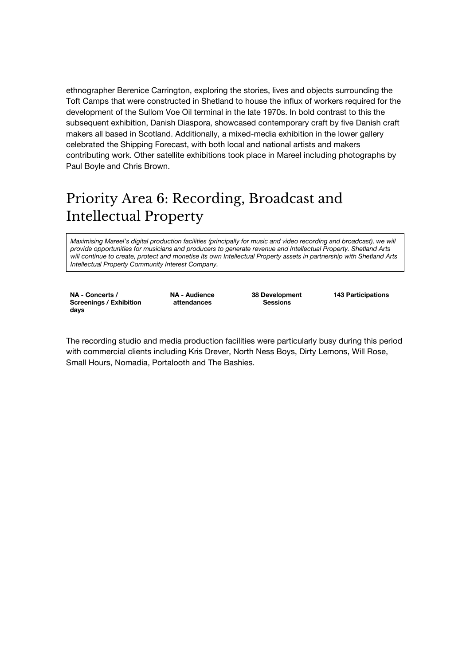ethnographer Berenice Carrington, exploring the stories, lives and objects surrounding the Toft Camps that were constructed in Shetland to house the influx of workers required for the development of the Sullom Voe Oil terminal in the late 1970s. In bold contrast to this the subsequent exhibition, Danish Diaspora, showcased contemporary craft by five Danish craft makers all based in Scotland. Additionally, a mixed-media exhibition in the lower gallery celebrated the Shipping Forecast, with both local and national artists and makers contributing work. Other satellite exhibitions took place in Mareel including photographs by Paul Boyle and Chris Brown.

# Priority Area 6: Recording, Broadcast and Intellectual Property

*Maximising Mareel's digital production facilities (principally for music and video recording and broadcast), we will provide opportunities for musicians and producers to generate revenue and Intellectual Property. Shetland Arts* will continue to create, protect and monetise its own Intellectual Property assets in partnership with Shetland Arts *Intellectual Property Community Interest Company.*

**NA - Concerts / Screenings / Exhibition days**

**NA - Audience attendances**

**38 Development Sessions**

**143 Participations**

The recording studio and media production facilities were particularly busy during this period with commercial clients including Kris Drever, North Ness Boys, Dirty Lemons, Will Rose, Small Hours, Nomadia, Portalooth and The Bashies.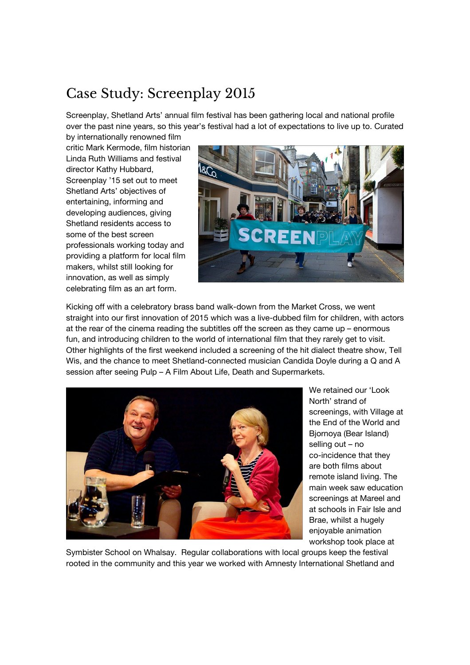# Case Study: Screenplay 2015

Screenplay, Shetland Arts' annual film festival has been gathering local and national profile over the past nine years, so this year's festival had a lot of expectations to live up to. Curated

by internationally renowned film critic Mark Kermode, film historian Linda Ruth Williams and festival director Kathy Hubbard, Screenplay '15 set out to meet Shetland Arts' objectives of entertaining, informing and developing audiences, giving Shetland residents access to some of the best screen professionals working today and providing a platform for local film makers, whilst still looking for innovation, as well as simply celebrating film as an art form.



Kicking off with a celebratory brass band walk-down from the Market Cross, we went straight into our first innovation of 2015 which was a live-dubbed film for children, with actors at the rear of the cinema reading the subtitles off the screen as they came up – enormous fun, and introducing children to the world of international film that they rarely get to visit. Other highlights of the first weekend included a screening of the hit dialect theatre show, Tell Wis, and the chance to meet Shetland-connected musician Candida Doyle during a Q and A session after seeing Pulp – A Film About Life, Death and Supermarkets.



We retained our 'Look North' strand of screenings, with Village at the End of the World and Bjornoya (Bear Island) selling out – no co-incidence that they are both films about remote island living. The main week saw education screenings at Mareel and at schools in Fair Isle and Brae, whilst a hugely enjoyable animation workshop took place at

Symbister School on Whalsay. Regular collaborations with local groups keep the festival rooted in the community and this year we worked with Amnesty International Shetland and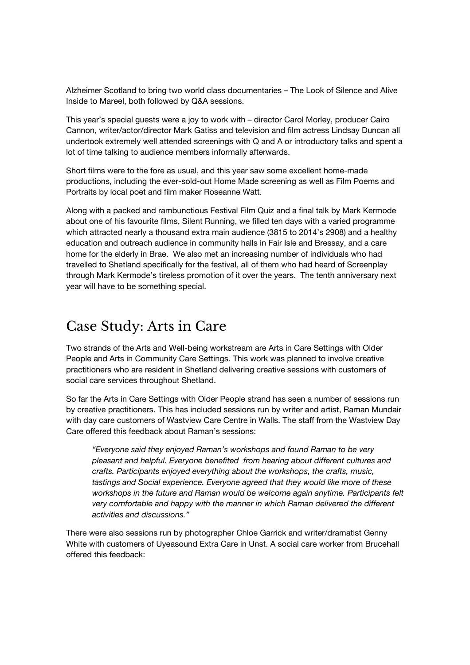Alzheimer Scotland to bring two world class documentaries – The Look of Silence and Alive Inside to Mareel, both followed by Q&A sessions.

This year's special guests were a joy to work with – director Carol Morley, producer Cairo Cannon, writer/actor/director Mark Gatiss and television and film actress Lindsay Duncan all undertook extremely well attended screenings with Q and A or introductory talks and spent a lot of time talking to audience members informally afterwards.

Short films were to the fore as usual, and this year saw some excellent home-made productions, including the ever-sold-out Home Made screening as well as Film Poems and Portraits by local poet and film maker Roseanne Watt.

Along with a packed and rambunctious Festival Film Quiz and a final talk by Mark Kermode about one of his favourite films, Silent Running, we filled ten days with a varied programme which attracted nearly a thousand extra main audience (3815 to 2014's 2908) and a healthy education and outreach audience in community halls in Fair Isle and Bressay, and a care home for the elderly in Brae. We also met an increasing number of individuals who had travelled to Shetland specifically for the festival, all of them who had heard of Screenplay through Mark Kermode's tireless promotion of it over the years. The tenth anniversary next year will have to be something special.

#### Case Study: Arts in Care

Two strands of the Arts and Well-being workstream are Arts in Care Settings with Older People and Arts in Community Care Settings. This work was planned to involve creative practitioners who are resident in Shetland delivering creative sessions with customers of social care services throughout Shetland.

So far the Arts in Care Settings with Older People strand has seen a number of sessions run by creative practitioners. This has included sessions run by writer and artist, Raman Mundair with day care customers of Wastview Care Centre in Walls. The staff from the Wastview Day Care offered this feedback about Raman's sessions:

*"Everyone said they enjoyed Raman's workshops and found Raman to be very pleasant and helpful. Everyone benefited from hearing about different cultures and crafts. Participants enjoyed everything about the workshops, the crafts, music, tastings and Social experience. Everyone agreed that they would like more of these workshops in the future and Raman would be welcome again anytime. Participants felt very comfortable and happy with the manner in which Raman delivered the different activities and discussions."*

There were also sessions run by photographer Chloe Garrick and writer/dramatist Genny White with customers of Uyeasound Extra Care in Unst. A social care worker from Brucehall offered this feedback: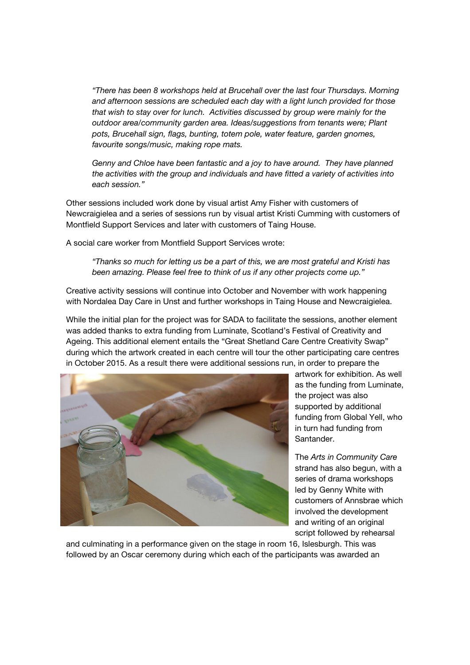*"There has been 8 workshops held at Brucehall over the last four Thursdays. Morning and afternoon sessions are scheduled each day with a light lunch provided for those that wish to stay over for lunch. Activities discussed by group were mainly for the outdoor area/community garden area. Ideas/suggestions from tenants were; Plant pots, Brucehall sign, flags, bunting, totem pole, water feature, garden gnomes, favourite songs/music, making rope mats.*

*Genny and Chloe have been fantastic and a joy to have around. They have planned the activities with the group and individuals and have fitted a variety of activities into each session."*

Other sessions included work done by visual artist Amy Fisher with customers of Newcraigielea and a series of sessions run by visual artist Kristi Cumming with customers of Montfield Support Services and later with customers of Taing House.

A social care worker from Montfield Support Services wrote:

*"Thanks so much for letting us be a part of this, we are most grateful and Kristi has been amazing. Please feel free to think of us if any other projects come up."*

Creative activity sessions will continue into October and November with work happening with Nordalea Day Care in Unst and further workshops in Taing House and Newcraigielea.

While the initial plan for the project was for SADA to facilitate the sessions, another element was added thanks to extra funding from Luminate, Scotland's Festival of Creativity and Ageing. This additional element entails the "Great Shetland Care Centre Creativity Swap" during which the artwork created in each centre will tour the other participating care centres in October 2015. As a result there were additional sessions run, in order to prepare the



artwork for exhibition. As well as the funding from Luminate, the project was also supported by additional funding from Global Yell, who in turn had funding from Santander.

The *Arts in Community Care* strand has also begun, with a series of drama workshops led by Genny White with customers of Annsbrae which involved the development and writing of an original script followed by rehearsal

and culminating in a performance given on the stage in room 16, Islesburgh. This was followed by an Oscar ceremony during which each of the participants was awarded an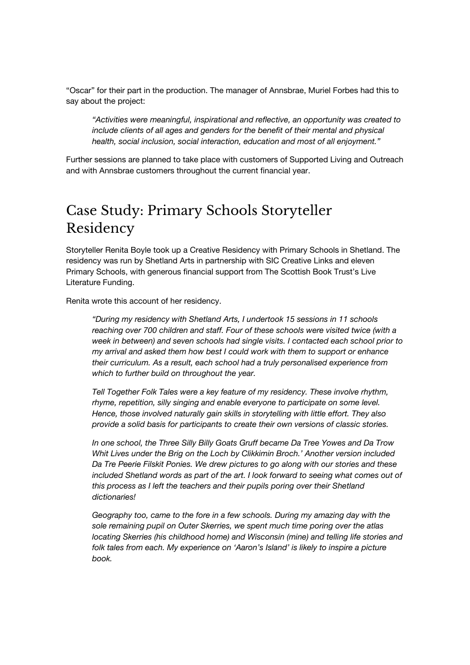"Oscar" for their part in the production. The manager of Annsbrae, Muriel Forbes had this to say about the project:

*"Activities were meaningful, inspirational and reflective, an opportunity was created to include clients of all ages and genders for the benefit of their mental and physical health, social inclusion, social interaction, education and most of all enjoyment."*

Further sessions are planned to take place with customers of Supported Living and Outreach and with Annsbrae customers throughout the current financial year.

### Case Study: Primary Schools Storyteller Residency

Storyteller Renita Boyle took up a Creative Residency with Primary Schools in Shetland. The residency was run by Shetland Arts in partnership with SIC Creative Links and eleven Primary Schools, with generous financial support from The Scottish Book Trust's Live Literature Funding.

Renita wrote this account of her residency.

*"During my residency with Shetland Arts, I undertook 15 sessions in 11 schools reaching over 700 children and staff. Four of these schools were visited twice (with a week in between) and seven schools had single visits. I contacted each school prior to my arrival and asked them how best I could work with them to support or enhance their curriculum. As a result, each school had a truly personalised experience from which to further build on throughout the year.*

*Tell Together Folk Tales were a key feature of my residency. These involve rhythm, rhyme, repetition, silly singing and enable everyone to participate on some level. Hence, those involved naturally gain skills in storytelling with little effort. They also provide a solid basis for participants to create their own versions of classic stories.*

*In one school, the Three Silly Billy Goats Gruff became Da Tree Yowes and Da Trow Whit Lives under the Brig on the Loch by Clikkimin Broch.' Another version included Da Tre Peerie Filskit Ponies. We drew pictures to go along with our stories and these included Shetland words as part of the art. I look forward to seeing what comes out of this process as I left the teachers and their pupils poring over their Shetland dictionaries!*

*Geography too, came to the fore in a few schools. During my amazing day with the sole remaining pupil on Outer Skerries, we spent much time poring over the atlas locating Skerries (his childhood home) and Wisconsin (mine) and telling life stories and folk tales from each. My experience on 'Aaron's Island' is likely to inspire a picture book.*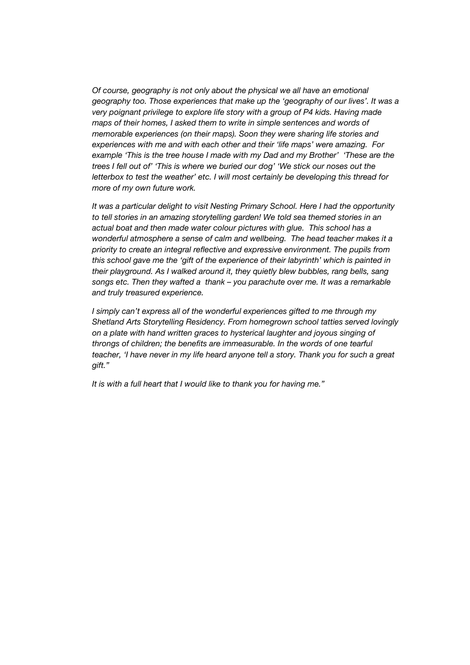*Of course, geography is not only about the physical we all have an emotional geography too. Those experiences that make up the 'geography of our lives'. It was a very poignant privilege to explore life story with a group of P4 kids. Having made maps of their homes, I asked them to write in simple sentences and words of memorable experiences (on their maps). Soon they were sharing life stories and experiences with me and with each other and their 'life maps' were amazing. For example 'This is the tree house I made with my Dad and my Brother' 'These are the trees I fell out of' 'This is where we buried our dog' 'We stick our noses out the letterbox to test the weather' etc. I will most certainly be developing this thread for more of my own future work.*

*It was a particular delight to visit Nesting Primary School. Here I had the opportunity to tell stories in an amazing storytelling garden! We told sea themed stories in an actual boat and then made water colour pictures with glue. This school has a wonderful atmosphere a sense of calm and wellbeing. The head teacher makes it a priority to create an integral reflective and expressive environment. The pupils from this school gave me the 'gift of the experience of their labyrinth' which is painted in their playground. As I walked around it, they quietly blew bubbles, rang bells, sang songs etc. Then they wafted a thank – you parachute over me. It was a remarkable and truly treasured experience.*

*I simply can't express all of the wonderful experiences gifted to me through my Shetland Arts Storytelling Residency. From homegrown school tatties served lovingly on a plate with hand written graces to hysterical laughter and joyous singing of throngs of children; the benefits are immeasurable. In the words of one tearful teacher, 'I have never in my life heard anyone tell a story. Thank you for such a great gift."*

*It is with a full heart that I would like to thank you for having me."*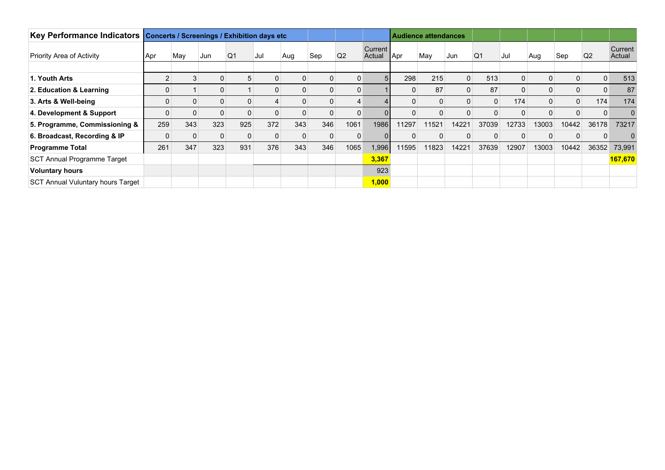| Key Performance Indicators               | <b>Concerts / Screenings / Exhibition days etc</b> |     |     |                |             |     |          |                |                   | <b>Audience attendances</b> |             |              |             |          |                |              |                |                   |
|------------------------------------------|----------------------------------------------------|-----|-----|----------------|-------------|-----|----------|----------------|-------------------|-----------------------------|-------------|--------------|-------------|----------|----------------|--------------|----------------|-------------------|
| <b>Priority Area of Activity</b>         | Apr                                                | May | Jun | Q <sub>1</sub> | Jul         | Aug | Sep      | Q <sub>2</sub> | Current<br>Actual | ∦Apr                        | May         | Jun          | Q1          | Jul      | Aug            | Sep          | Q <sub>2</sub> | Current<br>Actual |
| 1. Youth Arts                            |                                                    | 3   |     | b              | $\mathbf 0$ | 0   | $\Omega$ | $\Omega$       | 5 <sup>1</sup>    | 298                         | 215         | $\mathbf{0}$ | 513         | 0        | $\overline{0}$ | $\mathbf{0}$ | $\Omega$       | 513               |
| 2. Education & Learning                  |                                                    |     |     |                | $\Omega$    |     | 0        | $\mathbf{0}$   |                   |                             | 87          | $\Omega$     | 87          |          | $\Omega$       | 0            |                | 87                |
| 3. Arts & Well-being                     | 0                                                  | 0   |     | 0              | 4           | 0   | $\Omega$ | 4              |                   |                             | $\Omega$    | $\Omega$     | $\mathbf 0$ | 174      | $\overline{0}$ | $\mathbf{0}$ | 174            | 174               |
| 4. Development & Support                 | O                                                  | 0   |     | O              | $\mathbf 0$ |     | 0        | $\mathbf{0}$   |                   |                             | 0           | $\Omega$     | 0           |          | 0              | 0            |                |                   |
| 5. Programme, Commissioning &            | 259                                                | 343 | 323 | 925            | 372         | 343 | 346      | 1061           | 1986              | 1297                        | 11521       | 14221        | 37039       | 12733    | 13003          | 10442        | 36178          | 73217             |
| 6. Broadcast, Recording & IP             | 0                                                  | 0   |     | 0              | $\mathbf 0$ |     | $\Omega$ | $\mathbf{0}$   |                   |                             | $\mathbf 0$ | 0            | 0           | $\Omega$ | $\mathbf{0}$   | 0            |                |                   |
| <b>Programme Total</b>                   | 261                                                | 347 | 323 | 931            | 376         | 343 | 346      | 1065           | 1,996             | 1595                        | 11823       | 14221        | 37639       | 12907    | 13003          | 10442        | 36352          | 73,991            |
| <b>SCT Annual Programme Target</b>       |                                                    |     |     |                |             |     |          |                | 3,367             |                             |             |              |             |          |                |              |                | 167,670           |
| <b>Voluntary hours</b>                   |                                                    |     |     |                |             |     |          |                | 923               |                             |             |              |             |          |                |              |                |                   |
| <b>SCT Annual Vuluntary hours Target</b> |                                                    |     |     |                |             |     |          |                | 1,000             |                             |             |              |             |          |                |              |                |                   |